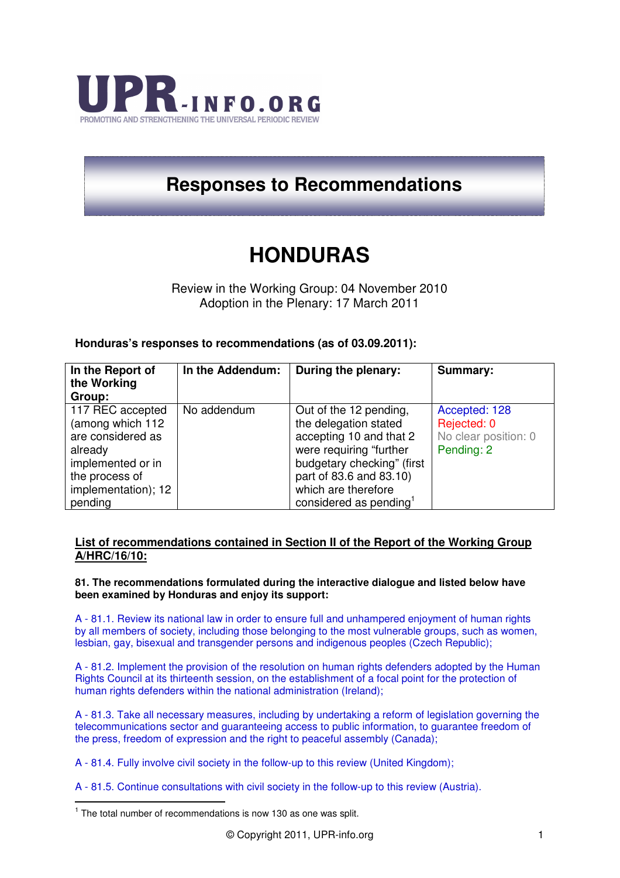

## **Responses to Recommendations**

## **HONDURAS**

Review in the Working Group: 04 November 2010 Adoption in the Plenary: 17 March 2011

## **Honduras's responses to recommendations (as of 03.09.2011):**

| In the Report of<br>the Working<br>Group:                                                                   | In the Addendum: | During the plenary:                                                                                                                                            | <b>Summary:</b>                                                    |
|-------------------------------------------------------------------------------------------------------------|------------------|----------------------------------------------------------------------------------------------------------------------------------------------------------------|--------------------------------------------------------------------|
| 117 REC accepted<br>(among which 112<br>are considered as<br>already<br>implemented or in<br>the process of | No addendum      | Out of the 12 pending,<br>the delegation stated<br>accepting 10 and that 2<br>were requiring "further<br>budgetary checking" (first<br>part of 83.6 and 83.10) | Accepted: 128<br>Rejected: 0<br>No clear position: 0<br>Pending: 2 |
| implementation); 12<br>pending                                                                              |                  | which are therefore<br>considered as pending <sup>1</sup>                                                                                                      |                                                                    |

## **List of recommendations contained in Section II of the Report of the Working Group A/HRC/16/10:**

**81. The recommendations formulated during the interactive dialogue and listed below have been examined by Honduras and enjoy its support:** 

A - 81.1. Review its national law in order to ensure full and unhampered enjoyment of human rights by all members of society, including those belonging to the most vulnerable groups, such as women, lesbian, gay, bisexual and transgender persons and indigenous peoples (Czech Republic);

A - 81.2. Implement the provision of the resolution on human rights defenders adopted by the Human Rights Council at its thirteenth session, on the establishment of a focal point for the protection of human rights defenders within the national administration (Ireland);

A - 81.3. Take all necessary measures, including by undertaking a reform of legislation governing the telecommunications sector and guaranteeing access to public information, to guarantee freedom of the press, freedom of expression and the right to peaceful assembly (Canada);

A - 81.4. Fully involve civil society in the follow-up to this review (United Kingdom);

A - 81.5. Continue consultations with civil society in the follow-up to this review (Austria).  $\overline{a}$ 

 $1$  The total number of recommendations is now 130 as one was split.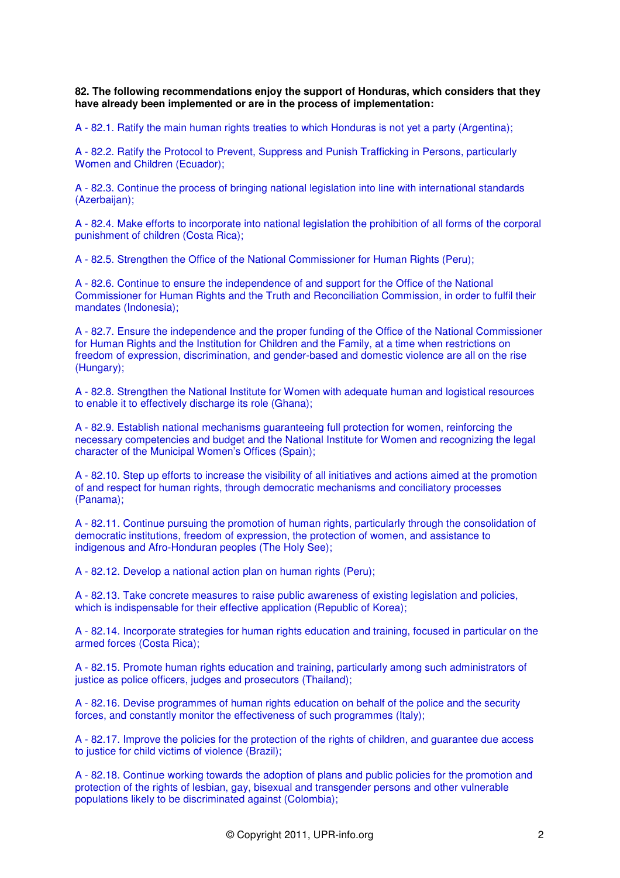**82. The following recommendations enjoy the support of Honduras, which considers that they have already been implemented or are in the process of implementation:** 

A - 82.1. Ratify the main human rights treaties to which Honduras is not yet a party (Argentina);

A - 82.2. Ratify the Protocol to Prevent, Suppress and Punish Trafficking in Persons, particularly Women and Children (Ecuador);

A - 82.3. Continue the process of bringing national legislation into line with international standards (Azerbaijan);

A - 82.4. Make efforts to incorporate into national legislation the prohibition of all forms of the corporal punishment of children (Costa Rica);

A - 82.5. Strengthen the Office of the National Commissioner for Human Rights (Peru);

A - 82.6. Continue to ensure the independence of and support for the Office of the National Commissioner for Human Rights and the Truth and Reconciliation Commission, in order to fulfil their mandates (Indonesia);

A - 82.7. Ensure the independence and the proper funding of the Office of the National Commissioner for Human Rights and the Institution for Children and the Family, at a time when restrictions on freedom of expression, discrimination, and gender-based and domestic violence are all on the rise (Hungary);

A - 82.8. Strengthen the National Institute for Women with adequate human and logistical resources to enable it to effectively discharge its role (Ghana);

A - 82.9. Establish national mechanisms guaranteeing full protection for women, reinforcing the necessary competencies and budget and the National Institute for Women and recognizing the legal character of the Municipal Women's Offices (Spain);

A - 82.10. Step up efforts to increase the visibility of all initiatives and actions aimed at the promotion of and respect for human rights, through democratic mechanisms and conciliatory processes (Panama);

A - 82.11. Continue pursuing the promotion of human rights, particularly through the consolidation of democratic institutions, freedom of expression, the protection of women, and assistance to indigenous and Afro-Honduran peoples (The Holy See);

A - 82.12. Develop a national action plan on human rights (Peru);

A - 82.13. Take concrete measures to raise public awareness of existing legislation and policies, which is indispensable for their effective application (Republic of Korea);

A - 82.14. Incorporate strategies for human rights education and training, focused in particular on the armed forces (Costa Rica);

A - 82.15. Promote human rights education and training, particularly among such administrators of justice as police officers, judges and prosecutors (Thailand);

A - 82.16. Devise programmes of human rights education on behalf of the police and the security forces, and constantly monitor the effectiveness of such programmes (Italy);

A - 82.17. Improve the policies for the protection of the rights of children, and guarantee due access to justice for child victims of violence (Brazil);

A - 82.18. Continue working towards the adoption of plans and public policies for the promotion and protection of the rights of lesbian, gay, bisexual and transgender persons and other vulnerable populations likely to be discriminated against (Colombia);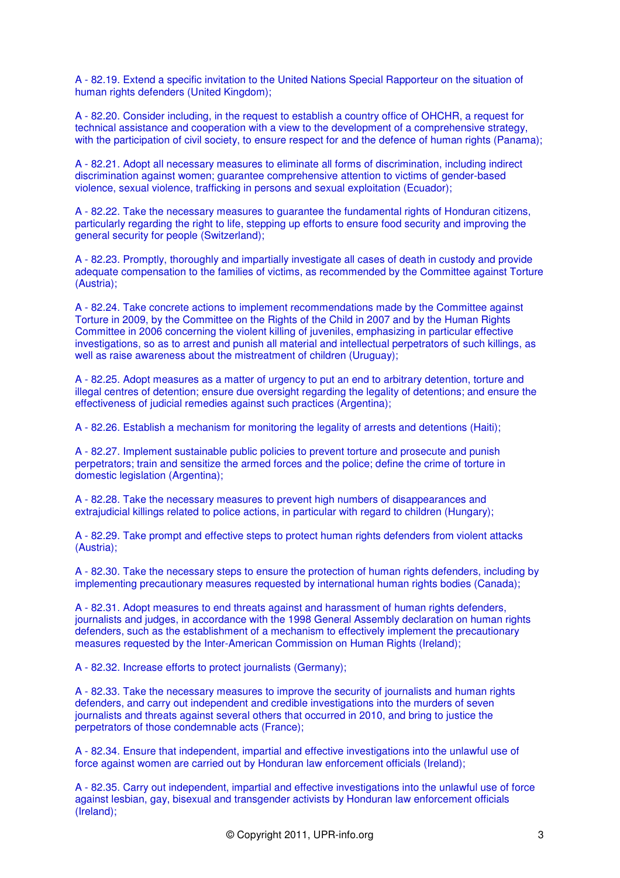A - 82.19. Extend a specific invitation to the United Nations Special Rapporteur on the situation of human rights defenders (United Kingdom);

A - 82.20. Consider including, in the request to establish a country office of OHCHR, a request for technical assistance and cooperation with a view to the development of a comprehensive strategy, with the participation of civil society, to ensure respect for and the defence of human rights (Panama);

A - 82.21. Adopt all necessary measures to eliminate all forms of discrimination, including indirect discrimination against women; guarantee comprehensive attention to victims of gender-based violence, sexual violence, trafficking in persons and sexual exploitation (Ecuador);

A - 82.22. Take the necessary measures to guarantee the fundamental rights of Honduran citizens, particularly regarding the right to life, stepping up efforts to ensure food security and improving the general security for people (Switzerland);

A - 82.23. Promptly, thoroughly and impartially investigate all cases of death in custody and provide adequate compensation to the families of victims, as recommended by the Committee against Torture (Austria);

A - 82.24. Take concrete actions to implement recommendations made by the Committee against Torture in 2009, by the Committee on the Rights of the Child in 2007 and by the Human Rights Committee in 2006 concerning the violent killing of juveniles, emphasizing in particular effective investigations, so as to arrest and punish all material and intellectual perpetrators of such killings, as well as raise awareness about the mistreatment of children (Uruguay);

A - 82.25. Adopt measures as a matter of urgency to put an end to arbitrary detention, torture and illegal centres of detention; ensure due oversight regarding the legality of detentions; and ensure the effectiveness of judicial remedies against such practices (Argentina);

A - 82.26. Establish a mechanism for monitoring the legality of arrests and detentions (Haiti);

A - 82.27. Implement sustainable public policies to prevent torture and prosecute and punish perpetrators; train and sensitize the armed forces and the police; define the crime of torture in domestic legislation (Argentina);

A - 82.28. Take the necessary measures to prevent high numbers of disappearances and extrajudicial killings related to police actions, in particular with regard to children (Hungary);

A - 82.29. Take prompt and effective steps to protect human rights defenders from violent attacks (Austria);

A - 82.30. Take the necessary steps to ensure the protection of human rights defenders, including by implementing precautionary measures requested by international human rights bodies (Canada);

A - 82.31. Adopt measures to end threats against and harassment of human rights defenders, journalists and judges, in accordance with the 1998 General Assembly declaration on human rights defenders, such as the establishment of a mechanism to effectively implement the precautionary measures requested by the Inter-American Commission on Human Rights (Ireland);

A - 82.32. Increase efforts to protect journalists (Germany);

A - 82.33. Take the necessary measures to improve the security of journalists and human rights defenders, and carry out independent and credible investigations into the murders of seven journalists and threats against several others that occurred in 2010, and bring to justice the perpetrators of those condemnable acts (France);

A - 82.34. Ensure that independent, impartial and effective investigations into the unlawful use of force against women are carried out by Honduran law enforcement officials (Ireland);

A - 82.35. Carry out independent, impartial and effective investigations into the unlawful use of force against lesbian, gay, bisexual and transgender activists by Honduran law enforcement officials (Ireland);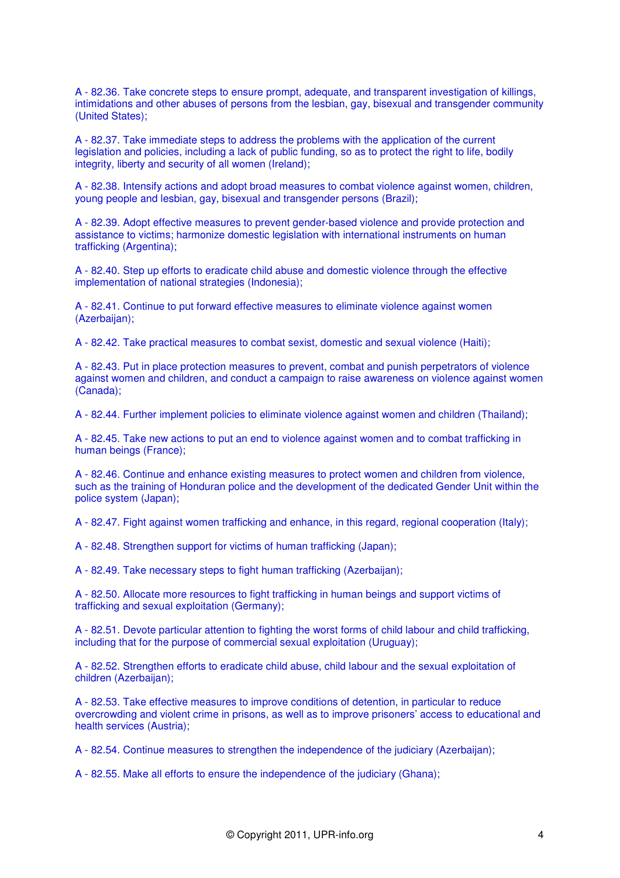A - 82.36. Take concrete steps to ensure prompt, adequate, and transparent investigation of killings, intimidations and other abuses of persons from the lesbian, gay, bisexual and transgender community (United States);

A - 82.37. Take immediate steps to address the problems with the application of the current legislation and policies, including a lack of public funding, so as to protect the right to life, bodily integrity, liberty and security of all women (Ireland);

A - 82.38. Intensify actions and adopt broad measures to combat violence against women, children, young people and lesbian, gay, bisexual and transgender persons (Brazil);

A - 82.39. Adopt effective measures to prevent gender-based violence and provide protection and assistance to victims; harmonize domestic legislation with international instruments on human trafficking (Argentina);

A - 82.40. Step up efforts to eradicate child abuse and domestic violence through the effective implementation of national strategies (Indonesia);

A - 82.41. Continue to put forward effective measures to eliminate violence against women (Azerbaijan);

A - 82.42. Take practical measures to combat sexist, domestic and sexual violence (Haiti);

A - 82.43. Put in place protection measures to prevent, combat and punish perpetrators of violence against women and children, and conduct a campaign to raise awareness on violence against women (Canada);

A - 82.44. Further implement policies to eliminate violence against women and children (Thailand);

A - 82.45. Take new actions to put an end to violence against women and to combat trafficking in human beings (France);

A - 82.46. Continue and enhance existing measures to protect women and children from violence, such as the training of Honduran police and the development of the dedicated Gender Unit within the police system (Japan);

A - 82.47. Fight against women trafficking and enhance, in this regard, regional cooperation (Italy);

A - 82.48. Strengthen support for victims of human trafficking (Japan);

A - 82.49. Take necessary steps to fight human trafficking (Azerbaijan);

A - 82.50. Allocate more resources to fight trafficking in human beings and support victims of trafficking and sexual exploitation (Germany);

A - 82.51. Devote particular attention to fighting the worst forms of child labour and child trafficking, including that for the purpose of commercial sexual exploitation (Uruguay);

A - 82.52. Strengthen efforts to eradicate child abuse, child labour and the sexual exploitation of children (Azerbaijan);

A - 82.53. Take effective measures to improve conditions of detention, in particular to reduce overcrowding and violent crime in prisons, as well as to improve prisoners' access to educational and health services (Austria);

A - 82.54. Continue measures to strengthen the independence of the judiciary (Azerbaijan);

A - 82.55. Make all efforts to ensure the independence of the judiciary (Ghana);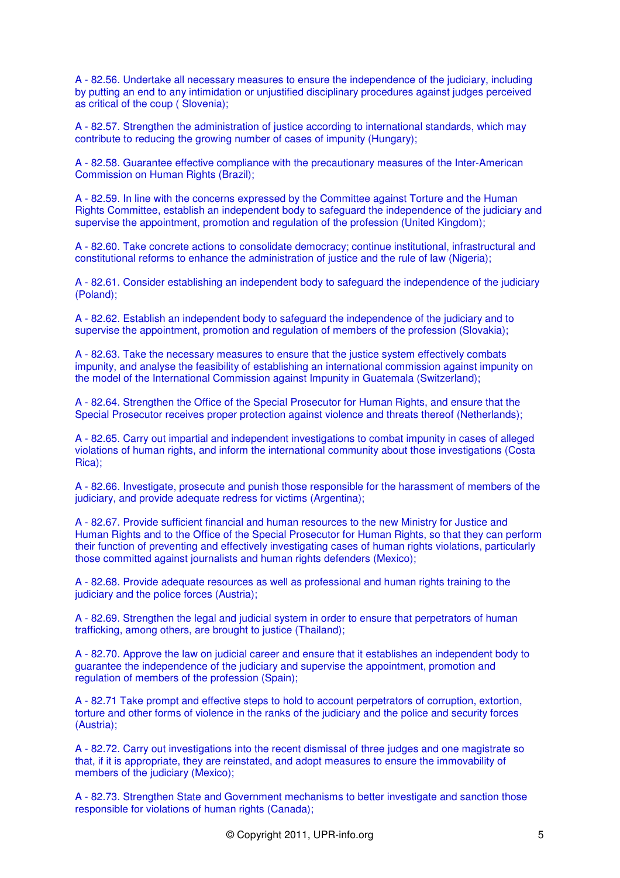A - 82.56. Undertake all necessary measures to ensure the independence of the judiciary, including by putting an end to any intimidation or unjustified disciplinary procedures against judges perceived as critical of the coup ( Slovenia);

A - 82.57. Strengthen the administration of justice according to international standards, which may contribute to reducing the growing number of cases of impunity (Hungary);

A - 82.58. Guarantee effective compliance with the precautionary measures of the Inter-American Commission on Human Rights (Brazil);

A - 82.59. In line with the concerns expressed by the Committee against Torture and the Human Rights Committee, establish an independent body to safeguard the independence of the judiciary and supervise the appointment, promotion and regulation of the profession (United Kingdom);

A - 82.60. Take concrete actions to consolidate democracy; continue institutional, infrastructural and constitutional reforms to enhance the administration of justice and the rule of law (Nigeria);

A - 82.61. Consider establishing an independent body to safeguard the independence of the judiciary (Poland);

A - 82.62. Establish an independent body to safeguard the independence of the judiciary and to supervise the appointment, promotion and regulation of members of the profession (Slovakia);

A - 82.63. Take the necessary measures to ensure that the justice system effectively combats impunity, and analyse the feasibility of establishing an international commission against impunity on the model of the International Commission against Impunity in Guatemala (Switzerland);

A - 82.64. Strengthen the Office of the Special Prosecutor for Human Rights, and ensure that the Special Prosecutor receives proper protection against violence and threats thereof (Netherlands);

A - 82.65. Carry out impartial and independent investigations to combat impunity in cases of alleged violations of human rights, and inform the international community about those investigations (Costa Rica);

A - 82.66. Investigate, prosecute and punish those responsible for the harassment of members of the judiciary, and provide adequate redress for victims (Argentina);

A - 82.67. Provide sufficient financial and human resources to the new Ministry for Justice and Human Rights and to the Office of the Special Prosecutor for Human Rights, so that they can perform their function of preventing and effectively investigating cases of human rights violations, particularly those committed against journalists and human rights defenders (Mexico);

A - 82.68. Provide adequate resources as well as professional and human rights training to the judiciary and the police forces (Austria);

A - 82.69. Strengthen the legal and judicial system in order to ensure that perpetrators of human trafficking, among others, are brought to justice (Thailand);

A - 82.70. Approve the law on judicial career and ensure that it establishes an independent body to guarantee the independence of the judiciary and supervise the appointment, promotion and regulation of members of the profession (Spain);

A - 82.71 Take prompt and effective steps to hold to account perpetrators of corruption, extortion, torture and other forms of violence in the ranks of the judiciary and the police and security forces (Austria);

A - 82.72. Carry out investigations into the recent dismissal of three judges and one magistrate so that, if it is appropriate, they are reinstated, and adopt measures to ensure the immovability of members of the judiciary (Mexico);

A - 82.73. Strengthen State and Government mechanisms to better investigate and sanction those responsible for violations of human rights (Canada);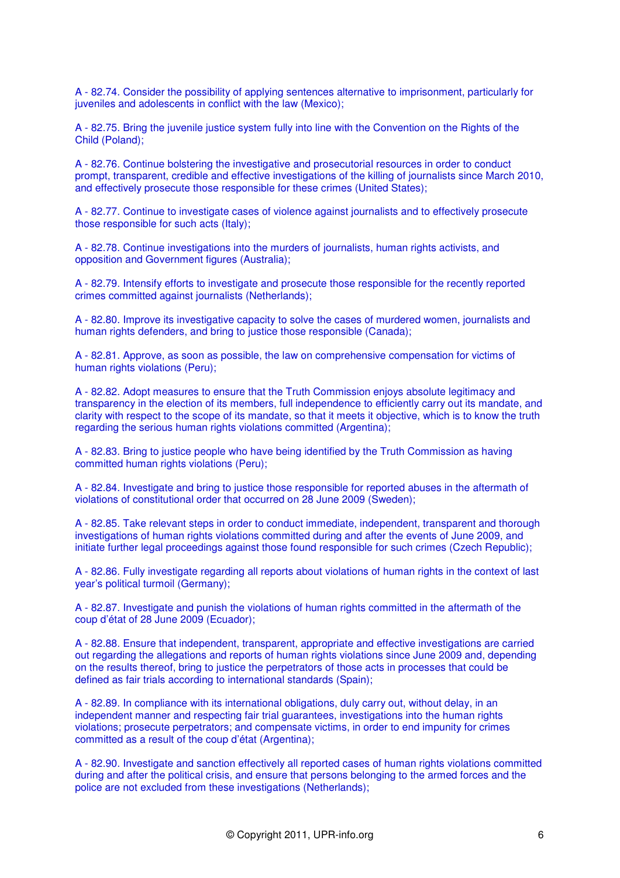A - 82.74. Consider the possibility of applying sentences alternative to imprisonment, particularly for juveniles and adolescents in conflict with the law (Mexico);

A - 82.75. Bring the juvenile justice system fully into line with the Convention on the Rights of the Child (Poland);

A - 82.76. Continue bolstering the investigative and prosecutorial resources in order to conduct prompt, transparent, credible and effective investigations of the killing of journalists since March 2010, and effectively prosecute those responsible for these crimes (United States);

A - 82.77. Continue to investigate cases of violence against journalists and to effectively prosecute those responsible for such acts (Italy);

A - 82.78. Continue investigations into the murders of journalists, human rights activists, and opposition and Government figures (Australia);

A - 82.79. Intensify efforts to investigate and prosecute those responsible for the recently reported crimes committed against journalists (Netherlands);

A - 82.80. Improve its investigative capacity to solve the cases of murdered women, journalists and human rights defenders, and bring to justice those responsible (Canada);

A - 82.81. Approve, as soon as possible, the law on comprehensive compensation for victims of human rights violations (Peru);

A - 82.82. Adopt measures to ensure that the Truth Commission enjoys absolute legitimacy and transparency in the election of its members, full independence to efficiently carry out its mandate, and clarity with respect to the scope of its mandate, so that it meets it objective, which is to know the truth regarding the serious human rights violations committed (Argentina);

A - 82.83. Bring to justice people who have being identified by the Truth Commission as having committed human rights violations (Peru);

A - 82.84. Investigate and bring to justice those responsible for reported abuses in the aftermath of violations of constitutional order that occurred on 28 June 2009 (Sweden);

A - 82.85. Take relevant steps in order to conduct immediate, independent, transparent and thorough investigations of human rights violations committed during and after the events of June 2009, and initiate further legal proceedings against those found responsible for such crimes (Czech Republic);

A - 82.86. Fully investigate regarding all reports about violations of human rights in the context of last year's political turmoil (Germany);

A - 82.87. Investigate and punish the violations of human rights committed in the aftermath of the coup d'état of 28 June 2009 (Ecuador);

A - 82.88. Ensure that independent, transparent, appropriate and effective investigations are carried out regarding the allegations and reports of human rights violations since June 2009 and, depending on the results thereof, bring to justice the perpetrators of those acts in processes that could be defined as fair trials according to international standards (Spain);

A - 82.89. In compliance with its international obligations, duly carry out, without delay, in an independent manner and respecting fair trial guarantees, investigations into the human rights violations; prosecute perpetrators; and compensate victims, in order to end impunity for crimes committed as a result of the coup d'état (Argentina);

A - 82.90. Investigate and sanction effectively all reported cases of human rights violations committed during and after the political crisis, and ensure that persons belonging to the armed forces and the police are not excluded from these investigations (Netherlands);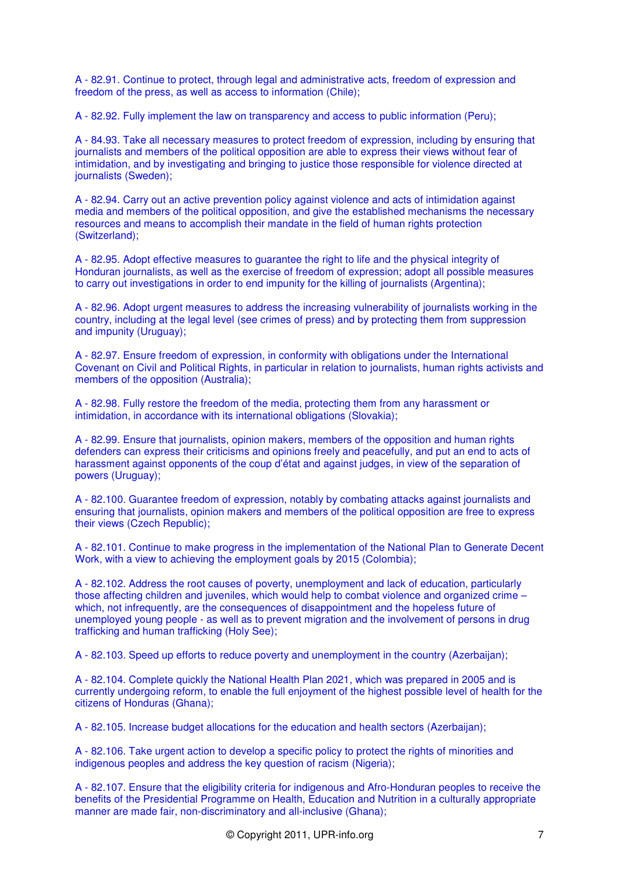A - 82.91. Continue to protect, through legal and administrative acts, freedom of expression and freedom of the press, as well as access to information (Chile);

A - 82.92. Fully implement the law on transparency and access to public information (Peru);

A - 84.93. Take all necessary measures to protect freedom of expression, including by ensuring that journalists and members of the political opposition are able to express their views without fear of intimidation, and by investigating and bringing to justice those responsible for violence directed at journalists (Sweden);

A - 82.94. Carry out an active prevention policy against violence and acts of intimidation against media and members of the political opposition, and give the established mechanisms the necessary resources and means to accomplish their mandate in the field of human rights protection (Switzerland);

A - 82.95. Adopt effective measures to guarantee the right to life and the physical integrity of Honduran journalists, as well as the exercise of freedom of expression; adopt all possible measures to carry out investigations in order to end impunity for the killing of journalists (Argentina);

A - 82.96. Adopt urgent measures to address the increasing vulnerability of journalists working in the country, including at the legal level (see crimes of press) and by protecting them from suppression and impunity (Uruguay);

A - 82.97. Ensure freedom of expression, in conformity with obligations under the International Covenant on Civil and Political Rights, in particular in relation to journalists, human rights activists and members of the opposition (Australia);

A - 82.98. Fully restore the freedom of the media, protecting them from any harassment or intimidation, in accordance with its international obligations (Slovakia):

A - 82.99. Ensure that journalists, opinion makers, members of the opposition and human rights defenders can express their criticisms and opinions freely and peacefully, and put an end to acts of harassment against opponents of the coup d'état and against judges, in view of the separation of powers (Uruguay);

A - 82.100. Guarantee freedom of expression, notably by combating attacks against journalists and ensuring that journalists, opinion makers and members of the political opposition are free to express their views (Czech Republic);

A - 82.101. Continue to make progress in the implementation of the National Plan to Generate Decent Work, with a view to achieving the employment goals by 2015 (Colombia);

A - 82.102. Address the root causes of poverty, unemployment and lack of education, particularly those affecting children and juveniles, which would help to combat violence and organized crime – which, not infrequently, are the consequences of disappointment and the hopeless future of unemployed young people - as well as to prevent migration and the involvement of persons in drug trafficking and human trafficking (Holy See);

A - 82.103. Speed up efforts to reduce poverty and unemployment in the country (Azerbaijan);

A - 82.104. Complete quickly the National Health Plan 2021, which was prepared in 2005 and is currently undergoing reform, to enable the full enjoyment of the highest possible level of health for the citizens of Honduras (Ghana);

A - 82.105. Increase budget allocations for the education and health sectors (Azerbaijan);

A - 82.106. Take urgent action to develop a specific policy to protect the rights of minorities and indigenous peoples and address the key question of racism (Nigeria);

A - 82.107. Ensure that the eligibility criteria for indigenous and Afro-Honduran peoples to receive the benefits of the Presidential Programme on Health, Education and Nutrition in a culturally appropriate manner are made fair, non-discriminatory and all-inclusive (Ghana);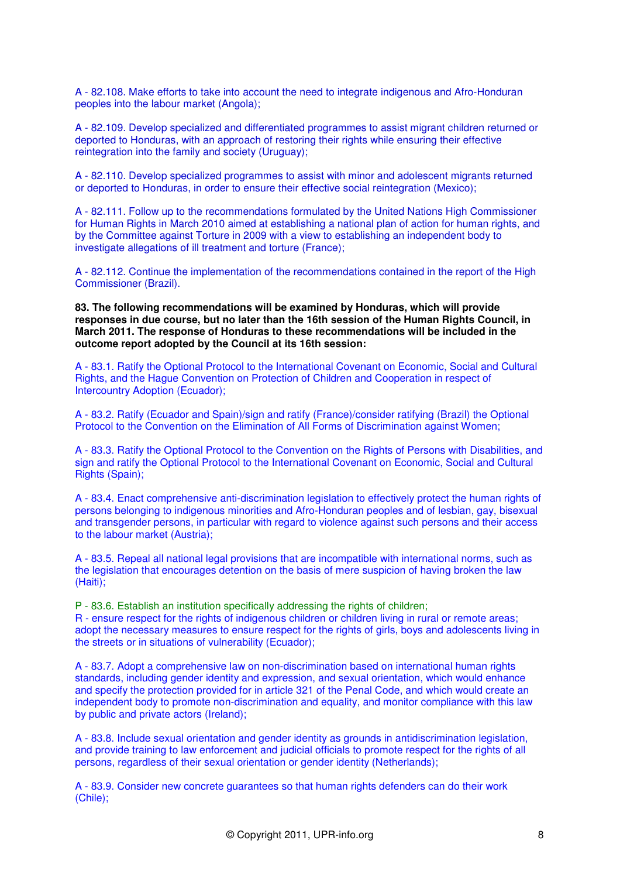A - 82.108. Make efforts to take into account the need to integrate indigenous and Afro-Honduran peoples into the labour market (Angola);

A - 82.109. Develop specialized and differentiated programmes to assist migrant children returned or deported to Honduras, with an approach of restoring their rights while ensuring their effective reintegration into the family and society (Uruguay);

A - 82.110. Develop specialized programmes to assist with minor and adolescent migrants returned or deported to Honduras, in order to ensure their effective social reintegration (Mexico);

A - 82.111. Follow up to the recommendations formulated by the United Nations High Commissioner for Human Rights in March 2010 aimed at establishing a national plan of action for human rights, and by the Committee against Torture in 2009 with a view to establishing an independent body to investigate allegations of ill treatment and torture (France);

A - 82.112. Continue the implementation of the recommendations contained in the report of the High Commissioner (Brazil).

**83. The following recommendations will be examined by Honduras, which will provide responses in due course, but no later than the 16th session of the Human Rights Council, in March 2011. The response of Honduras to these recommendations will be included in the outcome report adopted by the Council at its 16th session:** 

A - 83.1. Ratify the Optional Protocol to the International Covenant on Economic, Social and Cultural Rights, and the Hague Convention on Protection of Children and Cooperation in respect of Intercountry Adoption (Ecuador);

A - 83.2. Ratify (Ecuador and Spain)/sign and ratify (France)/consider ratifying (Brazil) the Optional Protocol to the Convention on the Elimination of All Forms of Discrimination against Women;

A - 83.3. Ratify the Optional Protocol to the Convention on the Rights of Persons with Disabilities, and sign and ratify the Optional Protocol to the International Covenant on Economic, Social and Cultural Rights (Spain):

A - 83.4. Enact comprehensive anti-discrimination legislation to effectively protect the human rights of persons belonging to indigenous minorities and Afro-Honduran peoples and of lesbian, gay, bisexual and transgender persons, in particular with regard to violence against such persons and their access to the labour market (Austria);

A - 83.5. Repeal all national legal provisions that are incompatible with international norms, such as the legislation that encourages detention on the basis of mere suspicion of having broken the law (Haiti);

P - 83.6. Establish an institution specifically addressing the rights of children;

R - ensure respect for the rights of indigenous children or children living in rural or remote areas; adopt the necessary measures to ensure respect for the rights of girls, boys and adolescents living in the streets or in situations of vulnerability (Ecuador);

A - 83.7. Adopt a comprehensive law on non-discrimination based on international human rights standards, including gender identity and expression, and sexual orientation, which would enhance and specify the protection provided for in article 321 of the Penal Code, and which would create an independent body to promote non-discrimination and equality, and monitor compliance with this law by public and private actors (Ireland);

A - 83.8. Include sexual orientation and gender identity as grounds in antidiscrimination legislation, and provide training to law enforcement and judicial officials to promote respect for the rights of all persons, regardless of their sexual orientation or gender identity (Netherlands);

A - 83.9. Consider new concrete guarantees so that human rights defenders can do their work (Chile);